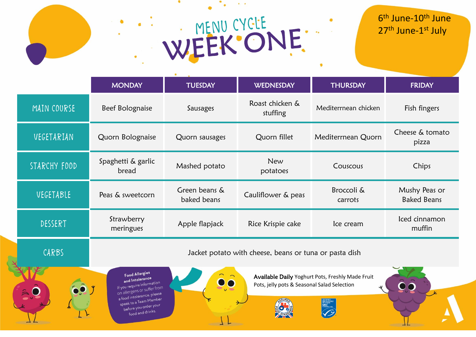### WEEK ONE.  $\bullet$

#### 6<sup>th</sup> June-10<sup>th</sup> June 27<sup>th</sup> June-1st July

|              | <b>MONDAY</b>                                                                                                                                                                                                 | <b>TUESDAY</b>               | <b>WEDNESDAY</b>            | <b>THURSDAY</b>       | <b>FRIDAY</b>                       |  |  |
|--------------|---------------------------------------------------------------------------------------------------------------------------------------------------------------------------------------------------------------|------------------------------|-----------------------------|-----------------------|-------------------------------------|--|--|
| MAIN COURSE  | Beef Bolognaise                                                                                                                                                                                               | Sausages                     | Roast chicken &<br>stuffing | Mediterrnean chicken  | Fish fingers                        |  |  |
| VEGETARIAN   | Quorn Bolognaise                                                                                                                                                                                              | Quorn sausages               | Quorn fillet                | Mediterrnean Quorn    | Cheese & tomato<br>pizza            |  |  |
| STARCHY FOOD | Spaghetti & garlic<br>bread                                                                                                                                                                                   | Mashed potato                | New<br>potatoes             | Couscous              | Chips                               |  |  |
| VEGETABLE    | Peas & sweetcorn                                                                                                                                                                                              | Green beans &<br>baked beans | Cauliflower & peas          | Broccoli &<br>carrots | Mushy Peas or<br><b>Baked Beans</b> |  |  |
| DESSERT      | Strawberry<br>meringues                                                                                                                                                                                       | Apple flapjack               | Rice Krispie cake           | Ice cream             | Iced cinnamon<br>muffin             |  |  |
| CARBS        | Jacket potato with cheese, beans or tuna or pasta dish                                                                                                                                                        |                              |                             |                       |                                     |  |  |
|              | <b>Food Allergies</b><br>Available Daily Yoghurt Pots, Freshly Made Fruit<br>and Intolerance<br>If you require information<br>Pots, jelly pots & Seasonal Salad Selection<br>on allergens or suffer from<br>k |                              |                             |                       |                                     |  |  |
|              | a food intolerance, please<br>speak to a Team Member<br>before you order your<br>food and drinks.                                                                                                             |                              |                             |                       |                                     |  |  |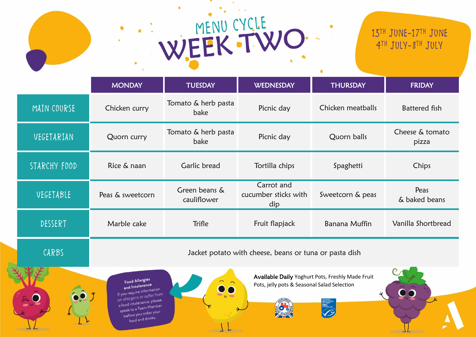# WEEK TWO

#### 13th June-17th June 4TH JULY-8<sup>TH</sup> JULY

|              | <b>MONDAY</b>                                                                                                                                                                                                                    | <b>TUESDAY</b>               | <b>WEDNESDAY</b>                          | <b>THURSDAY</b>      | <b>FRIDAY</b>            |  |
|--------------|----------------------------------------------------------------------------------------------------------------------------------------------------------------------------------------------------------------------------------|------------------------------|-------------------------------------------|----------------------|--------------------------|--|
| MAIN COURSE  | Chicken curry                                                                                                                                                                                                                    | Tomato & herb pasta<br>bake  | Picnic day                                | Chicken meatballs    | Battered fish            |  |
| VEGETARIAN   | Quorn curry                                                                                                                                                                                                                      | Tomato & herb pasta<br>bake  | Picnic day                                | Quorn balls          | Cheese & tomato<br>pizza |  |
| STARCHY FOOD | Rice & naan                                                                                                                                                                                                                      | Garlic bread                 | Tortilla chips                            | Spaghetti            | Chips                    |  |
| VEGETABLE    | Peas & sweetcorn                                                                                                                                                                                                                 | Green beans &<br>cauliflower | Carrot and<br>cucumber sticks with<br>dip | Sweetcorn & peas     | Peas<br>& baked beans    |  |
| DESSERT      | Marble cake                                                                                                                                                                                                                      | <b>Trifle</b>                | Fruit flapjack                            | <b>Banana Muffin</b> | Vanilla Shortbread       |  |
| CARBS        | Jacket potato with cheese, beans or tuna or pasta dish                                                                                                                                                                           |                              |                                           |                      |                          |  |
|              | Available Daily Yoghurt Pots, Freshly Made Fruit<br><b>Food Allergies</b><br>Pots, jelly pots & Seasonal Salad Selection<br>and Intolerance<br>If you require information<br>on allergens or suffer from<br>Listalerance, please |                              |                                           |                      |                          |  |

CERTIFIED

**BUCK OF BUCK** 

on allergens or surrer<br>a food intolerance, please

a food intolerance. Press<br>speak to a Team Member peak to a learn form<br>before you order your efore you drawn,